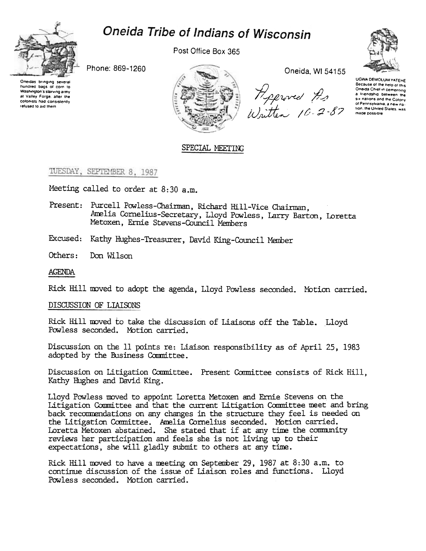



Post Office Box 365

Phone: 869-1260

Oneidas bringing several<br>hundred bags of corn to Washington's starving army at Valley Forge, after the<br>colonists had consistently refused to aid them



Oneida, WI 54155

Heproved As<br>Written 10-2-87



UGWA DEMOLUM YATEHE Because of the help of this Oneida Chief in cementing a friendship between the six nations and the Colony of Pennsylvania, a new nation, the United States, was made possible

### SPECIAL MEETING

## TUESDAY, SEPTEMBER 8, 1987

Meeting called to order at 8:30 a.m.

Present: Purcell Powless-Chairman, Richard Hill-Vice Chairman, Amelia Cornelius-Secretary, Lloyd Powless, Larry Barton, Loretta Metoxen, Ernie Stevens-Council Members

Excused: Kathy Hughes-Treasurer, David King-Council Member

Others: Don Wilson

#### **AGENDA**

Rick Hill moved to adopt the agenda, Lloyd Powless seconded. Motion carried.

#### DISCUSSION OF LIAISONS

Rick Hill moved to take the discussion of Liaisons off the Table. Lloyd Powless seconded. Motion carried.

Discussion on the 11 points re: Liaison responsibility as of April 25, 1983 adopted by the Business Committee.

Discussion on Litigation Committee. Present Committee consists of Rick Hill, Kathy Hughes and David King.

Lloyd Powless moved to appoint Loretta Metoxen and Ernie Stevens on the Litigation Committee and that the current Litigation Committee meet and bring back recommendations on any changes in the structure they feel is needed on the Litigation Committee. Amelia Cornelius seconded. Motion carried.<br>Loretta Metoxen abstained. She stated that if at any time the community reviews her participation and feels she is not living up to their expectations, she will gladly submit to others at any time.

Rick Hill moved to have a meeting on September 29, 1987 at 8:30 a.m. to continue discussion of the issue of Liaison roles and functions. Lloyd Powless seconded. Motion carried.